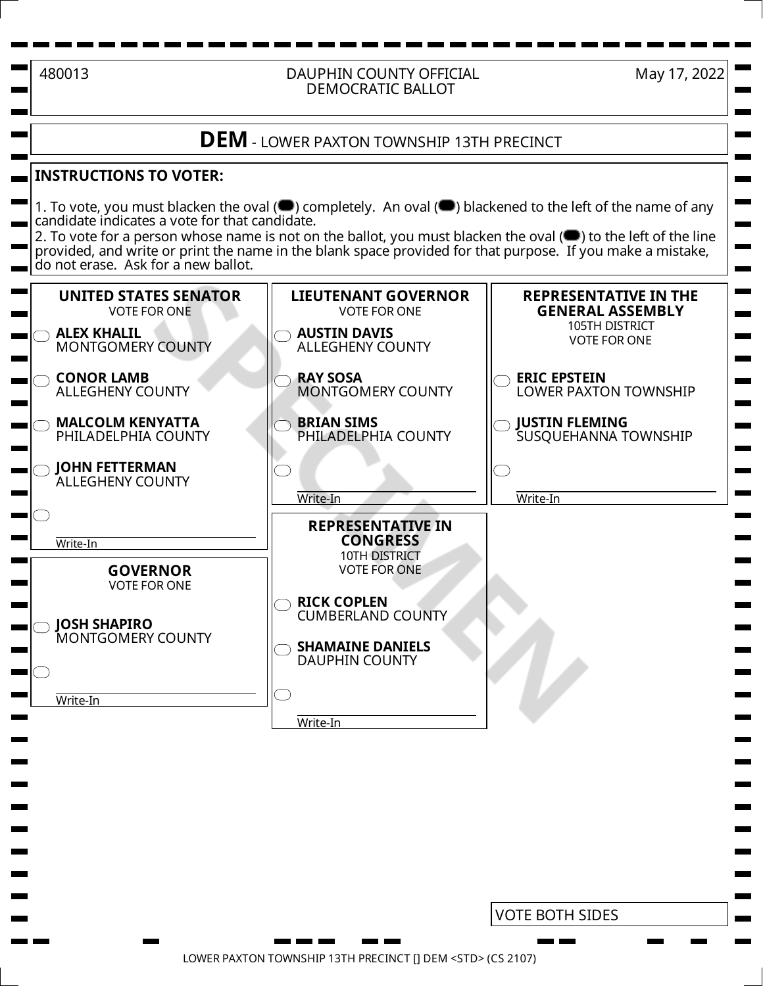## 480013 DAUPHIN COUNTY OFFICIAL DEMOCRATIC BALLOT

May 17, 2022

## **DEM** - LOWER PAXTON TOWNSHIP 13TH PRECINCT

## **INSTRUCTIONS TO VOTER:**

1. To vote, you must blacken the oval ( $\blacksquare$ ) completely. An oval ( $\blacksquare$ ) blackened to the left of the name of any candidate indicates a vote for that candidate.

2. To vote for a person whose name is not on the ballot, you must blacken the oval  $($ **)** to the left of the line provided, and write or print the name in the blank space provided for that purpose. If you make a mistake, do not erase. Ask for a new ballot.



VOTE BOTH SIDES